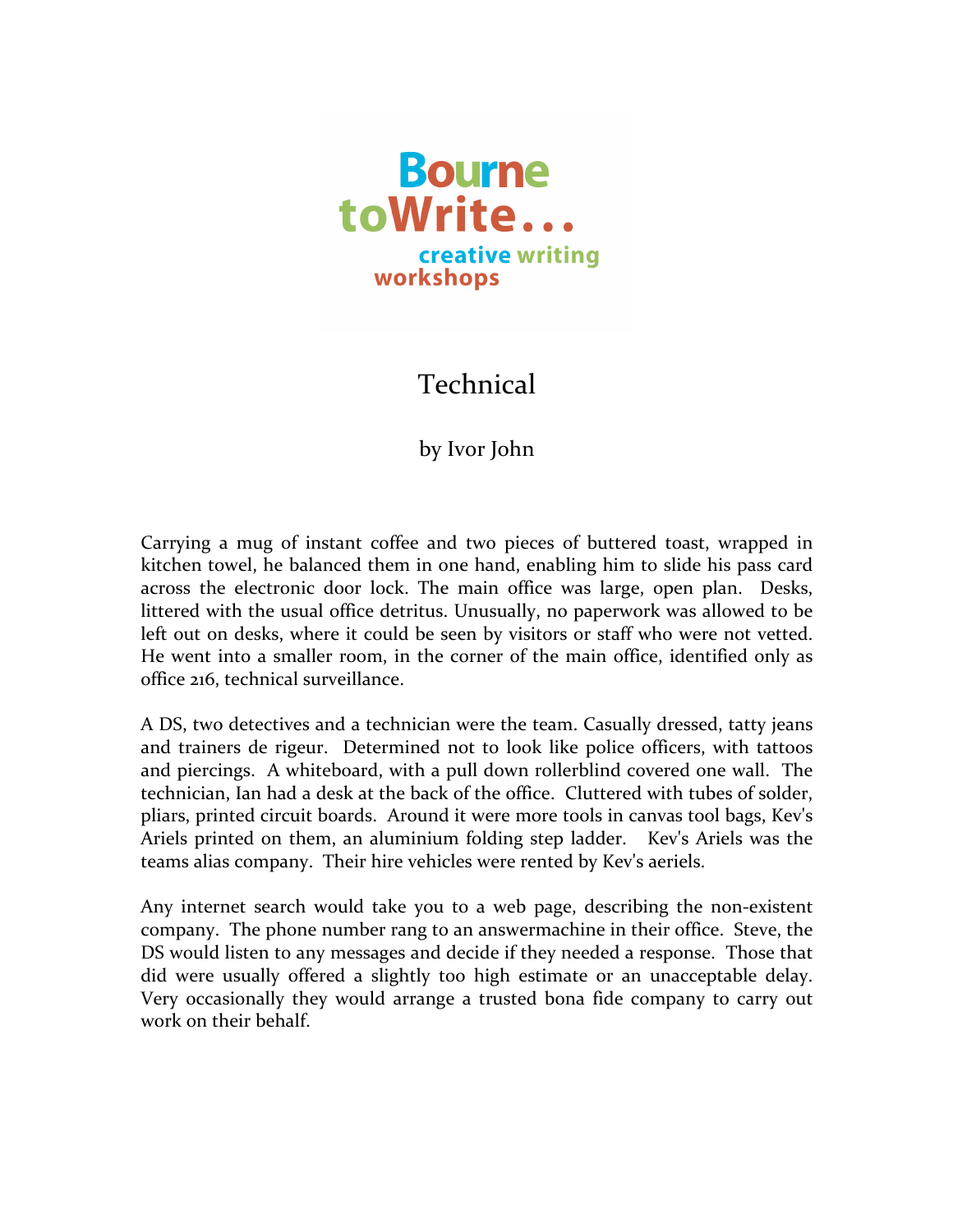

## Technical

## by Ivor John

Carrying a mug of instant coffee and two pieces of buttered toast, wrapped in kitchen towel, he balanced them in one hand, enabling him to slide his pass card across the electronic door lock. The main office was large, open plan. Desks, littered with the usual office detritus. Unusually, no paperwork was allowed to be left out on desks, where it could be seen by visitors or staff who were not vetted. He went into a smaller room, in the corner of the main office, identified only as office 216, technical surveillance.

A DS, two detectives and a technician were the team. Casually dressed, tatty jeans and trainers de rigeur. Determined not to look like police officers, with tattoos and piercings. A whiteboard, with a pull down rollerblind covered one wall. The technician, Ian had a desk at the back of the office. Cluttered with tubes of solder, pliars, printed circuit boards. Around it were more tools in canvas tool bags, Kev's Ariels printed on them, an aluminium folding step ladder. Kev's Ariels was the teams alias company. Their hire vehicles were rented by Kev's aeriels.

Any internet search would take you to a web page, describing the non-existent company. The phone number rang to an answermachine in their office. Steve, the DS would listen to any messages and decide if they needed a response. Those that did were usually offered a slightly too high estimate or an unacceptable delay. Very occasionally they would arrange a trusted bona fide company to carry out work on their behalf.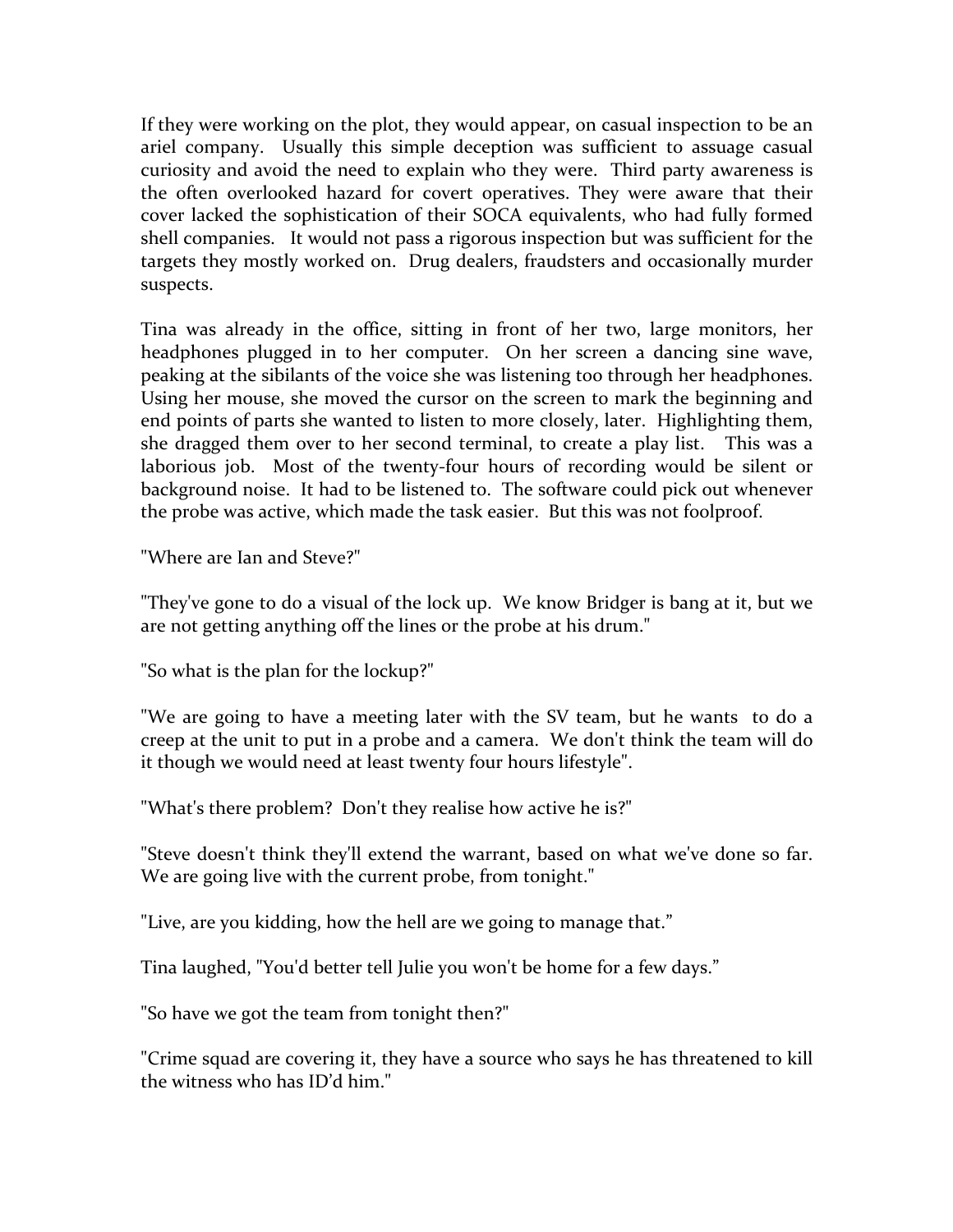If they were working on the plot, they would appear, on casual inspection to be an ariel company. Usually this simple deception was sufficient to assuage casual curiosity and avoid the need to explain who they were. Third party awareness is the often overlooked hazard for covert operatives. They were aware that their cover lacked the sophistication of their SOCA equivalents, who had fully formed shell companies. It would not pass a rigorous inspection but was sufficient for the targets they mostly worked on. Drug dealers, fraudsters and occasionally murder suspects. 

Tina was already in the office, sitting in front of her two, large monitors, her headphones plugged in to her computer. On her screen a dancing sine wave, peaking at the sibilants of the voice she was listening too through her headphones. Using her mouse, she moved the cursor on the screen to mark the beginning and end points of parts she wanted to listen to more closely, later. Highlighting them, she dragged them over to her second terminal, to create a play list. This was a laborious job. Most of the twenty-four hours of recording would be silent or background noise. It had to be listened to. The software could pick out whenever the probe was active, which made the task easier. But this was not foolproof.

"Where are Ian and Steve?"

"They've gone to do a visual of the lock up. We know Bridger is bang at it, but we are not getting anything off the lines or the probe at his drum."

"So what is the plan for the lockup?"

"We are going to have a meeting later with the SV team, but he wants to do a creep at the unit to put in a probe and a camera. We don't think the team will do it though we would need at least twenty four hours lifestyle".

"What's there problem? Don't they realise how active he is?"

"Steve doesn't think they'll extend the warrant, based on what we've done so far. We are going live with the current probe, from tonight."

"Live, are you kidding, how the hell are we going to manage that."

Tina laughed, "You'd better tell Julie you won't be home for a few days."

"So have we got the team from tonight then?"

"Crime squad are covering it, they have a source who says he has threatened to kill the witness who has  $ID'd$  him."